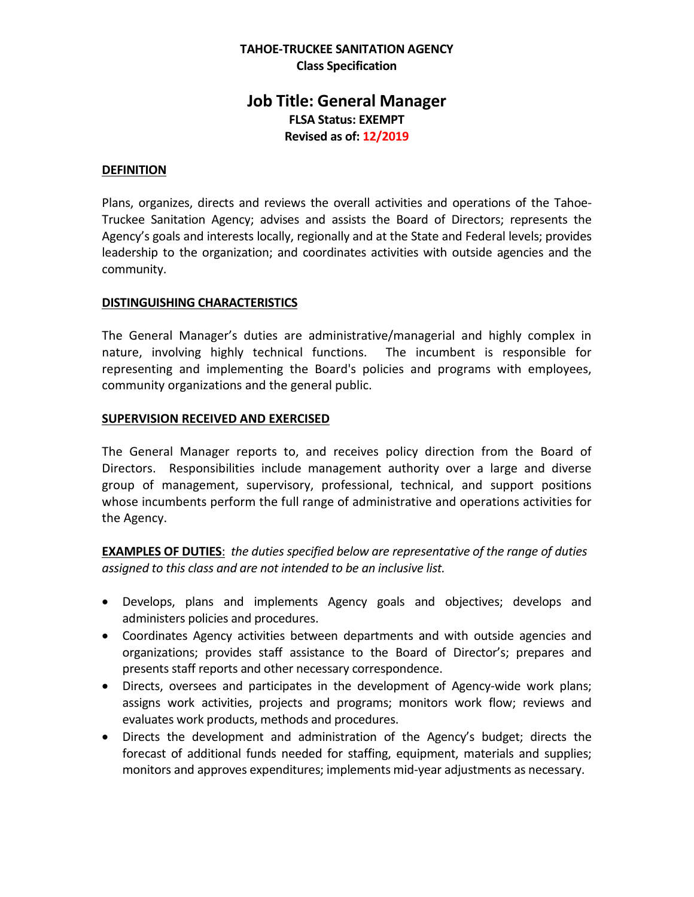### **TAHOE-TRUCKEE SANITATION AGENCY Class Specification**

# **Job Title: General Manager FLSA Status: EXEMPT Revised as of: 12/2019**

#### **DEFINITION**

Plans, organizes, directs and reviews the overall activities and operations of the Tahoe-Truckee Sanitation Agency; advises and assists the Board of Directors; represents the Agency's goals and interests locally, regionally and at the State and Federal levels; provides leadership to the organization; and coordinates activities with outside agencies and the community.

#### **DISTINGUISHING CHARACTERISTICS**

The General Manager's duties are administrative/managerial and highly complex in nature, involving highly technical functions. The incumbent is responsible for representing and implementing the Board's policies and programs with employees, community organizations and the general public.

#### **SUPERVISION RECEIVED AND EXERCISED**

The General Manager reports to, and receives policy direction from the Board of Directors. Responsibilities include management authority over a large and diverse group of management, supervisory, professional, technical, and support positions whose incumbents perform the full range of administrative and operations activities for the Agency.

**EXAMPLES OF DUTIES**: *the duties specified below are representative of the range of duties assigned to this class and are not intended to be an inclusive list.* 

- Develops, plans and implements Agency goals and objectives; develops and administers policies and procedures.
- Coordinates Agency activities between departments and with outside agencies and organizations; provides staff assistance to the Board of Director's; prepares and presents staff reports and other necessary correspondence.
- Directs, oversees and participates in the development of Agency-wide work plans; assigns work activities, projects and programs; monitors work flow; reviews and evaluates work products, methods and procedures.
- Directs the development and administration of the Agency's budget; directs the forecast of additional funds needed for staffing, equipment, materials and supplies; monitors and approves expenditures; implements mid-year adjustments as necessary.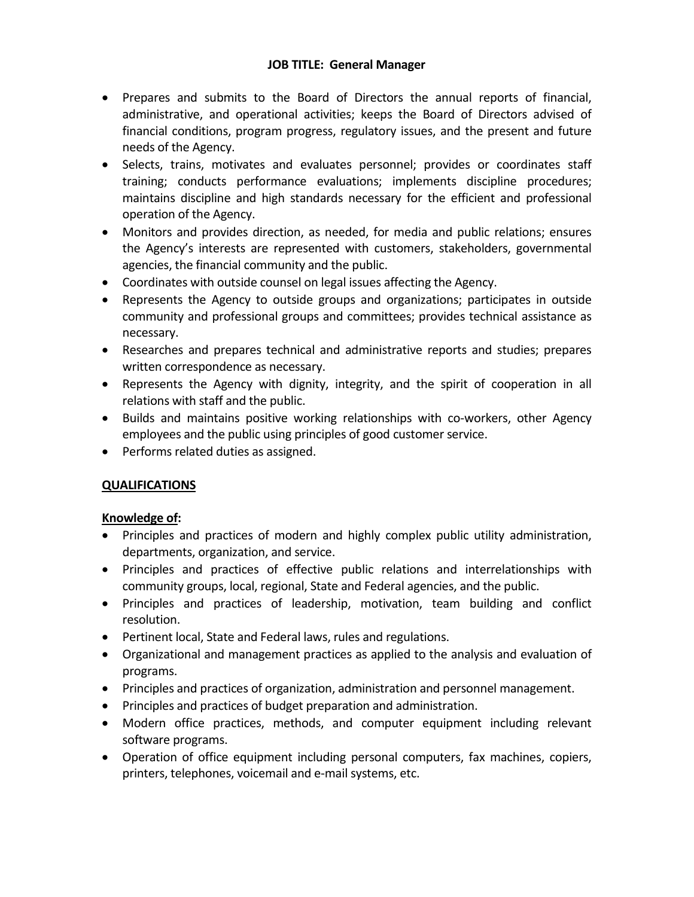### **JOB TITLE: General Manager**

- Prepares and submits to the Board of Directors the annual reports of financial, administrative, and operational activities; keeps the Board of Directors advised of financial conditions, program progress, regulatory issues, and the present and future needs of the Agency.
- Selects, trains, motivates and evaluates personnel; provides or coordinates staff training; conducts performance evaluations; implements discipline procedures; maintains discipline and high standards necessary for the efficient and professional operation of the Agency.
- Monitors and provides direction, as needed, for media and public relations; ensures the Agency's interests are represented with customers, stakeholders, governmental agencies, the financial community and the public.
- Coordinates with outside counsel on legal issues affecting the Agency.
- Represents the Agency to outside groups and organizations; participates in outside community and professional groups and committees; provides technical assistance as necessary.
- Researches and prepares technical and administrative reports and studies; prepares written correspondence as necessary.
- Represents the Agency with dignity, integrity, and the spirit of cooperation in all relations with staff and the public.
- Builds and maintains positive working relationships with co-workers, other Agency employees and the public using principles of good customer service.
- Performs related duties as assigned.

## **QUALIFICATIONS**

## **Knowledge of:**

- Principles and practices of modern and highly complex public utility administration, departments, organization, and service.
- Principles and practices of effective public relations and interrelationships with community groups, local, regional, State and Federal agencies, and the public.
- Principles and practices of leadership, motivation, team building and conflict resolution.
- Pertinent local, State and Federal laws, rules and regulations.
- Organizational and management practices as applied to the analysis and evaluation of programs.
- Principles and practices of organization, administration and personnel management.
- Principles and practices of budget preparation and administration.
- Modern office practices, methods, and computer equipment including relevant software programs.
- Operation of office equipment including personal computers, fax machines, copiers, printers, telephones, voicemail and e-mail systems, etc.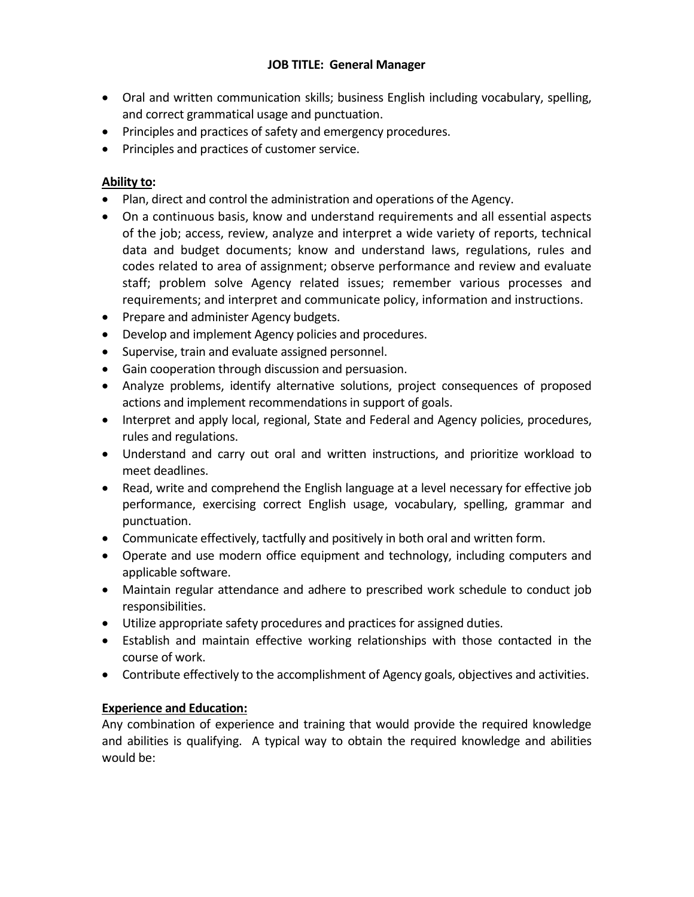### **JOB TITLE: General Manager**

- Oral and written communication skills; business English including vocabulary, spelling, and correct grammatical usage and punctuation.
- Principles and practices of safety and emergency procedures.
- Principles and practices of customer service.

## **Ability to:**

- Plan, direct and control the administration and operations of the Agency.
- On a continuous basis, know and understand requirements and all essential aspects of the job; access, review, analyze and interpret a wide variety of reports, technical data and budget documents; know and understand laws, regulations, rules and codes related to area of assignment; observe performance and review and evaluate staff; problem solve Agency related issues; remember various processes and requirements; and interpret and communicate policy, information and instructions.
- Prepare and administer Agency budgets.
- Develop and implement Agency policies and procedures.
- Supervise, train and evaluate assigned personnel.
- Gain cooperation through discussion and persuasion.
- Analyze problems, identify alternative solutions, project consequences of proposed actions and implement recommendations in support of goals.
- Interpret and apply local, regional, State and Federal and Agency policies, procedures, rules and regulations.
- Understand and carry out oral and written instructions, and prioritize workload to meet deadlines.
- Read, write and comprehend the English language at a level necessary for effective job performance, exercising correct English usage, vocabulary, spelling, grammar and punctuation.
- Communicate effectively, tactfully and positively in both oral and written form.
- Operate and use modern office equipment and technology, including computers and applicable software.
- Maintain regular attendance and adhere to prescribed work schedule to conduct job responsibilities.
- Utilize appropriate safety procedures and practices for assigned duties.
- Establish and maintain effective working relationships with those contacted in the course of work.
- Contribute effectively to the accomplishment of Agency goals, objectives and activities.

## **Experience and Education:**

Any combination of experience and training that would provide the required knowledge and abilities is qualifying. A typical way to obtain the required knowledge and abilities would be: